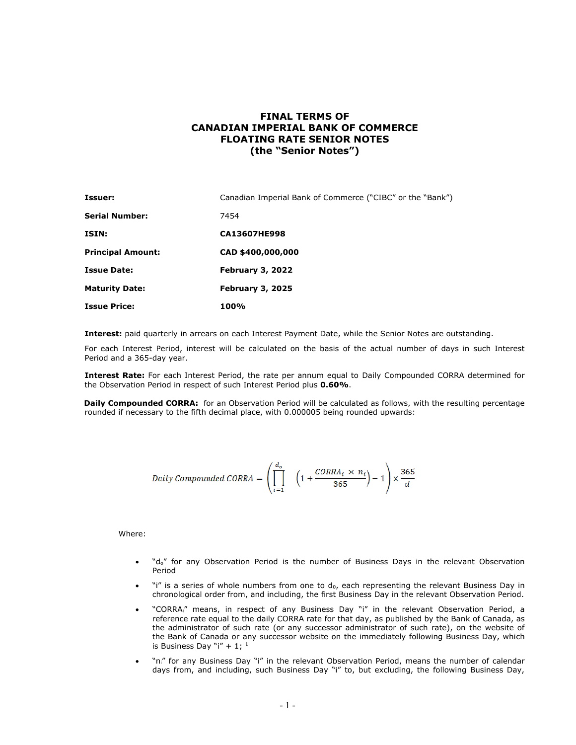## **FINAL TERMS OF CANADIAN IMPERIAL BANK OF COMMERCE FLOATING RATE SENIOR NOTES (the "Senior Notes")**

| Issuer:                  | Canadian Imperial Bank of Commerce ("CIBC" or the "Bank") |
|--------------------------|-----------------------------------------------------------|
| <b>Serial Number:</b>    | 7454                                                      |
| ISIN:                    | <b>CA13607HE998</b>                                       |
| <b>Principal Amount:</b> | CAD \$400,000,000                                         |
| <b>Issue Date:</b>       | February 3, 2022                                          |
| <b>Maturity Date:</b>    | <b>February 3, 2025</b>                                   |
| <b>Issue Price:</b>      | 100%                                                      |

**Interest:** paid quarterly in arrears on each Interest Payment Date, while the Senior Notes are outstanding.

For each Interest Period, interest will be calculated on the basis of the actual number of days in such Interest Period and a 365-day year.

**Interest Rate:** For each Interest Period, the rate per annum equal to Daily Compounded CORRA determined for the Observation Period in respect of such Interest Period plus **0.60%**.

**Daily Compounded CORRA:** for an Observation Period will be calculated as follows, with the resulting percentage rounded if necessary to the fifth decimal place, with 0.000005 being rounded upwards:

$$
Daily\ Compounded\ CORRA = \left(\prod_{i=1}^{d_o} \left(1 + \frac{CORRA_i \times n_i}{365}\right) - 1\right) \times \frac{365}{d}
$$

Where:

- "do" for any Observation Period is the number of Business Days in the relevant Observation Period
- "i" is a series of whole numbers from one to do, each representing the relevant Business Day in chronological order from, and including, the first Business Day in the relevant Observation Period.
- "CORRAi" means, in respect of any Business Day "i" in the relevant Observation Period, a reference rate equal to the daily CORRA rate for that day, as published by the Bank of Canada, as the administrator of such rate (or any successor administrator of such rate), on the website of the Bank of Canada or any successor website on the immediately following Business Day, which is Business Day "i" +  $1;$  1
- "n<sub>i</sub>" for any Business Day "i" in the relevant Observation Period, means the number of calendar days from, and including, such Business Day "i" to, but excluding, the following Business Day,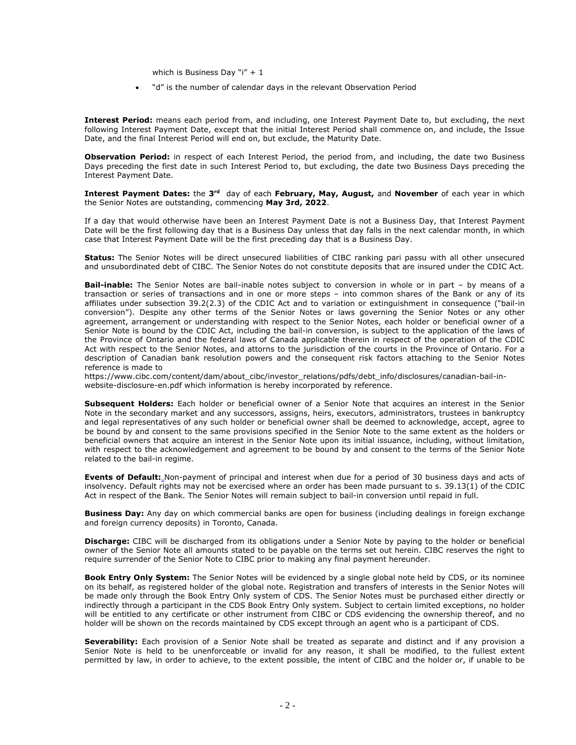which is Business Day "i"  $+1$ 

• "d" is the number of calendar days in the relevant Observation Period

**Interest Period:** means each period from, and including, one Interest Payment Date to, but excluding, the next following Interest Payment Date, except that the initial Interest Period shall commence on, and include, the Issue Date, and the final Interest Period will end on, but exclude, the Maturity Date.

**Observation Period:** in respect of each Interest Period, the period from, and including, the date two Business Days preceding the first date in such Interest Period to, but excluding, the date two Business Days preceding the Interest Payment Date.

**Interest Payment Dates:** the 3<sup>rd</sup> day of each February, May, August, and November of each year in which the Senior Notes are outstanding, commencing **May 3rd, 2022**.

If a day that would otherwise have been an Interest Payment Date is not a Business Day, that Interest Payment Date will be the first following day that is a Business Day unless that day falls in the next calendar month, in which case that Interest Payment Date will be the first preceding day that is a Business Day.

**Status:** The Senior Notes will be direct unsecured liabilities of CIBC ranking pari passu with all other unsecured and unsubordinated debt of CIBC. The Senior Notes do not constitute deposits that are insured under the CDIC Act.

**Bail-inable:** The Senior Notes are bail-inable notes subject to conversion in whole or in part – by means of a transaction or series of transactions and in one or more steps – into common shares of the Bank or any of its affiliates under subsection 39.2(2.3) of the CDIC Act and to variation or extinguishment in consequence ("bail-in conversion"). Despite any other terms of the Senior Notes or laws governing the Senior Notes or any other agreement, arrangement or understanding with respect to the Senior Notes, each holder or beneficial owner of a Senior Note is bound by the CDIC Act, including the bail-in conversion, is subject to the application of the laws of the Province of Ontario and the federal laws of Canada applicable therein in respect of the operation of the CDIC Act with respect to the Senior Notes, and attorns to the jurisdiction of the courts in the Province of Ontario. For a description of Canadian bank resolution powers and the consequent risk factors attaching to the Senior Notes reference is made to

https://www.cibc.com/content/dam/about\_cibc/investor\_relations/pdfs/debt\_info/disclosures/canadian-bail-inwebsite-disclosure-en.pdf which information is hereby incorporated by reference.

**Subsequent Holders:** Each holder or beneficial owner of a Senior Note that acquires an interest in the Senior Note in the secondary market and any successors, assigns, heirs, executors, administrators, trustees in bankruptcy and legal representatives of any such holder or beneficial owner shall be deemed to acknowledge, accept, agree to be bound by and consent to the same provisions specified in the Senior Note to the same extent as the holders or beneficial owners that acquire an interest in the Senior Note upon its initial issuance, including, without limitation, with respect to the acknowledgement and agreement to be bound by and consent to the terms of the Senior Note related to the bail-in regime.

**Events of Default:** Non-payment of principal and interest when due for a period of 30 business days and acts of insolvency. Default rights may not be exercised where an order has been made pursuant to s. 39.13(1) of the CDIC Act in respect of the Bank. The Senior Notes will remain subject to bail-in conversion until repaid in full.

**Business Day:** Any day on which commercial banks are open for business (including dealings in foreign exchange and foreign currency deposits) in Toronto, Canada.

**Discharge:** CIBC will be discharged from its obligations under a Senior Note by paying to the holder or beneficial owner of the Senior Note all amounts stated to be payable on the terms set out herein. CIBC reserves the right to require surrender of the Senior Note to CIBC prior to making any final payment hereunder.

**Book Entry Only System:** The Senior Notes will be evidenced by a single global note held by CDS, or its nominee on its behalf, as registered holder of the global note. Registration and transfers of interests in the Senior Notes will be made only through the Book Entry Only system of CDS. The Senior Notes must be purchased either directly or indirectly through a participant in the CDS Book Entry Only system. Subject to certain limited exceptions, no holder will be entitled to any certificate or other instrument from CIBC or CDS evidencing the ownership thereof, and no holder will be shown on the records maintained by CDS except through an agent who is a participant of CDS.

**Severability:** Each provision of a Senior Note shall be treated as separate and distinct and if any provision a Senior Note is held to be unenforceable or invalid for any reason, it shall be modified, to the fullest extent permitted by law, in order to achieve, to the extent possible, the intent of CIBC and the holder or, if unable to be